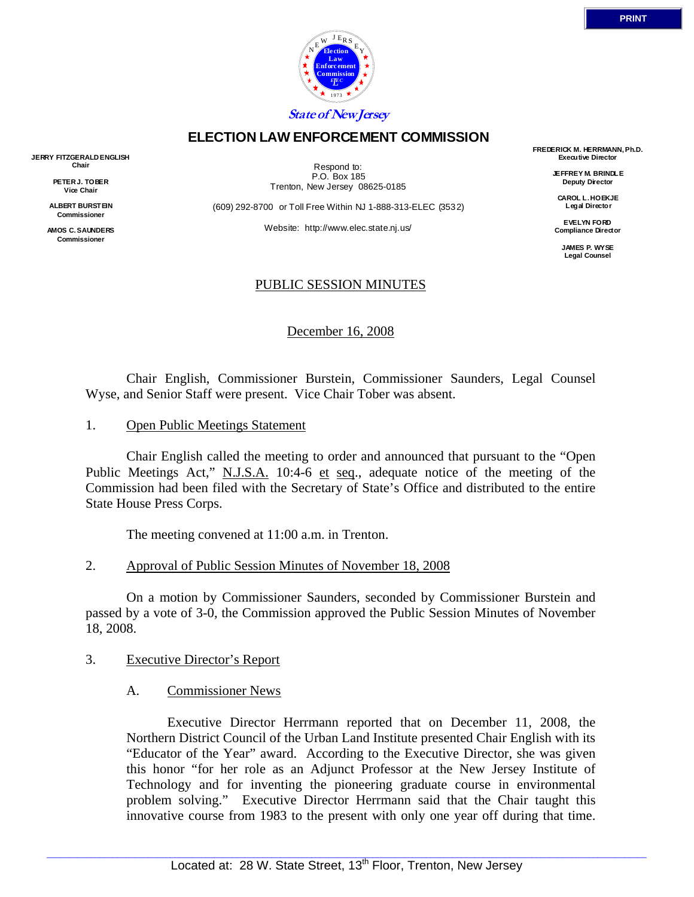

### **ELECTION LAW ENFORCEMENT COMMISSION**

**JERRY FITZGERALD ENGLISH Chair** 

> **PETER J. TOBER Vice Chair**

**ALBERT BURSTEIN Commissioner** 

**AMOS C. SAUNDERS Commissioner** 

Respond to: P.O. Box 185 Trenton, New Jersey 08625-0185

(609) 292-8700 or Toll Free Within NJ 1-888-313-ELEC (3532)

Website: http://www.elec.state.nj.us/

# PUBLIC SESSION MINUTES

December 16, 2008

 Chair English, Commissioner Burstein, Commissioner Saunders, Legal Counsel Wyse, and Senior Staff were present. Vice Chair Tober was absent.

1. Open Public Meetings Statement

 Chair English called the meeting to order and announced that pursuant to the "Open Public Meetings Act," N.J.S.A. 10:4-6 et seq., adequate notice of the meeting of the Commission had been filed with the Secretary of State's Office and distributed to the entire State House Press Corps.

The meeting convened at 11:00 a.m. in Trenton.

2. Approval of Public Session Minutes of November 18, 2008

 On a motion by Commissioner Saunders, seconded by Commissioner Burstein and passed by a vote of 3-0, the Commission approved the Public Session Minutes of November 18, 2008.

- 3. Executive Director's Report
	- A. Commissioner News

 Executive Director Herrmann reported that on December 11, 2008, the Northern District Council of the Urban Land Institute presented Chair English with its "Educator of the Year" award. According to the Executive Director, she was given this honor "for her role as an Adjunct Professor at the New Jersey Institute of Technology and for inventing the pioneering graduate course in environmental problem solving." Executive Director Herrmann said that the Chair taught this innovative course from 1983 to the present with only one year off during that time.

**FREDERICK M. HERRMANN, Ph.D. Executive Director JEFFREY M. BRINDLE Deputy Director CAROL L. HOEKJE Legal Director EVELYN FORD Compliance Director JAMES P. WYSE Legal Counsel**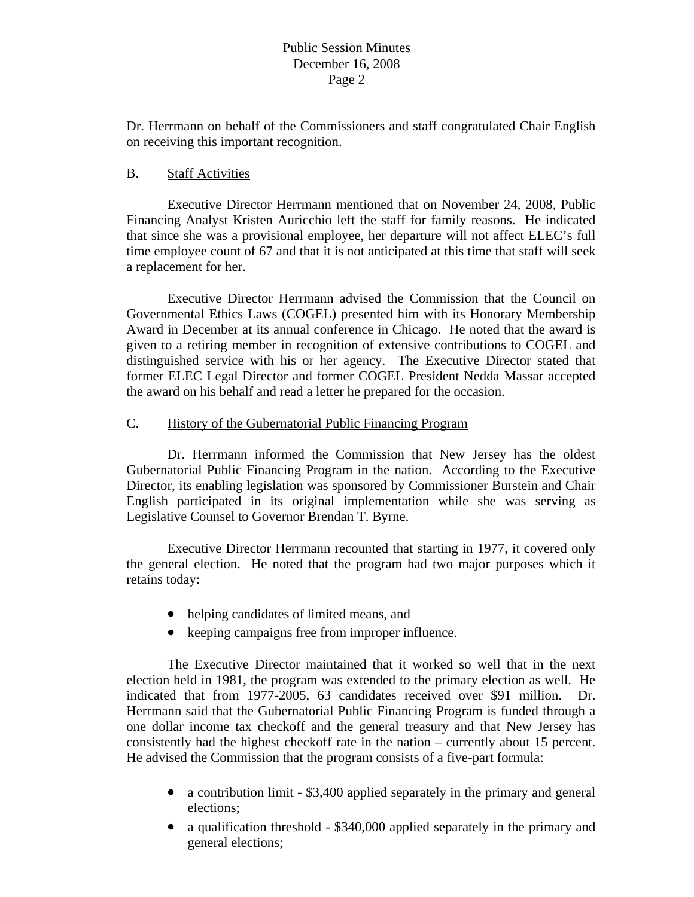Dr. Herrmann on behalf of the Commissioners and staff congratulated Chair English on receiving this important recognition.

#### B. Staff Activities

 Executive Director Herrmann mentioned that on November 24, 2008, Public Financing Analyst Kristen Auricchio left the staff for family reasons. He indicated that since she was a provisional employee, her departure will not affect ELEC's full time employee count of 67 and that it is not anticipated at this time that staff will seek a replacement for her.

 Executive Director Herrmann advised the Commission that the Council on Governmental Ethics Laws (COGEL) presented him with its Honorary Membership Award in December at its annual conference in Chicago. He noted that the award is given to a retiring member in recognition of extensive contributions to COGEL and distinguished service with his or her agency. The Executive Director stated that former ELEC Legal Director and former COGEL President Nedda Massar accepted the award on his behalf and read a letter he prepared for the occasion.

# C. History of the Gubernatorial Public Financing Program

 Dr. Herrmann informed the Commission that New Jersey has the oldest Gubernatorial Public Financing Program in the nation. According to the Executive Director, its enabling legislation was sponsored by Commissioner Burstein and Chair English participated in its original implementation while she was serving as Legislative Counsel to Governor Brendan T. Byrne.

 Executive Director Herrmann recounted that starting in 1977, it covered only the general election. He noted that the program had two major purposes which it retains today:

- helping candidates of limited means, and
- keeping campaigns free from improper influence.

 The Executive Director maintained that it worked so well that in the next election held in 1981, the program was extended to the primary election as well. He indicated that from 1977-2005, 63 candidates received over \$91 million. Dr. Herrmann said that the Gubernatorial Public Financing Program is funded through a one dollar income tax checkoff and the general treasury and that New Jersey has consistently had the highest checkoff rate in the nation – currently about 15 percent. He advised the Commission that the program consists of a five-part formula:

- a contribution limit \$3,400 applied separately in the primary and general elections;
- a qualification threshold \$340,000 applied separately in the primary and general elections;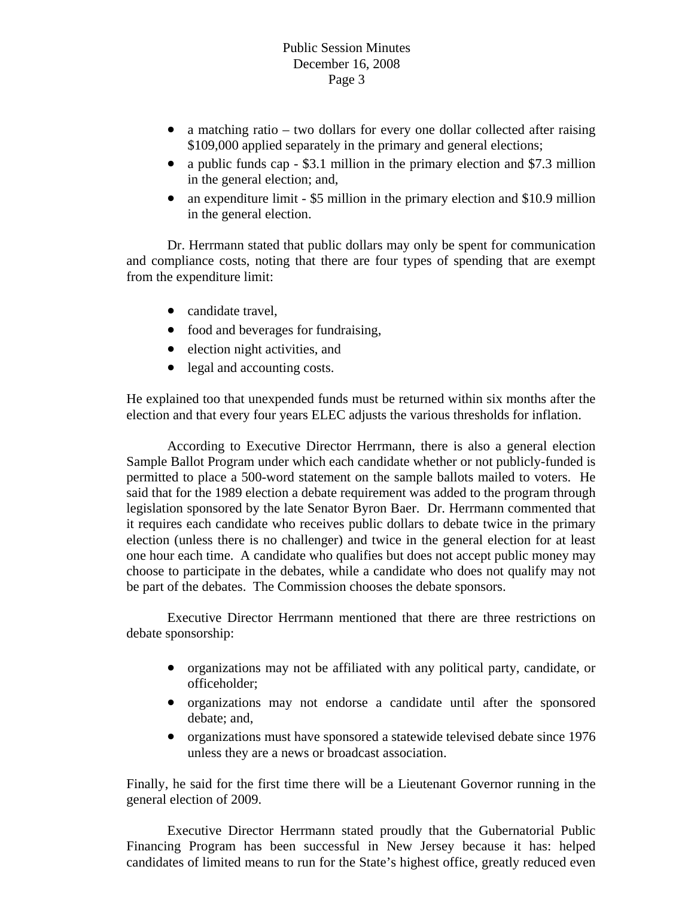- a matching ratio two dollars for every one dollar collected after raising \$109,000 applied separately in the primary and general elections;
- a public funds cap \$3.1 million in the primary election and \$7.3 million in the general election; and,
- an expenditure limit \$5 million in the primary election and \$10.9 million in the general election.

 Dr. Herrmann stated that public dollars may only be spent for communication and compliance costs, noting that there are four types of spending that are exempt from the expenditure limit:

- candidate travel,
- food and beverages for fundraising,
- election night activities, and
- legal and accounting costs.

He explained too that unexpended funds must be returned within six months after the election and that every four years ELEC adjusts the various thresholds for inflation.

 According to Executive Director Herrmann, there is also a general election Sample Ballot Program under which each candidate whether or not publicly-funded is permitted to place a 500-word statement on the sample ballots mailed to voters. He said that for the 1989 election a debate requirement was added to the program through legislation sponsored by the late Senator Byron Baer. Dr. Herrmann commented that it requires each candidate who receives public dollars to debate twice in the primary election (unless there is no challenger) and twice in the general election for at least one hour each time. A candidate who qualifies but does not accept public money may choose to participate in the debates, while a candidate who does not qualify may not be part of the debates. The Commission chooses the debate sponsors.

 Executive Director Herrmann mentioned that there are three restrictions on debate sponsorship:

- organizations may not be affiliated with any political party, candidate, or officeholder;
- organizations may not endorse a candidate until after the sponsored debate; and,
- organizations must have sponsored a statewide televised debate since 1976 unless they are a news or broadcast association.

Finally, he said for the first time there will be a Lieutenant Governor running in the general election of 2009.

 Executive Director Herrmann stated proudly that the Gubernatorial Public Financing Program has been successful in New Jersey because it has: helped candidates of limited means to run for the State's highest office, greatly reduced even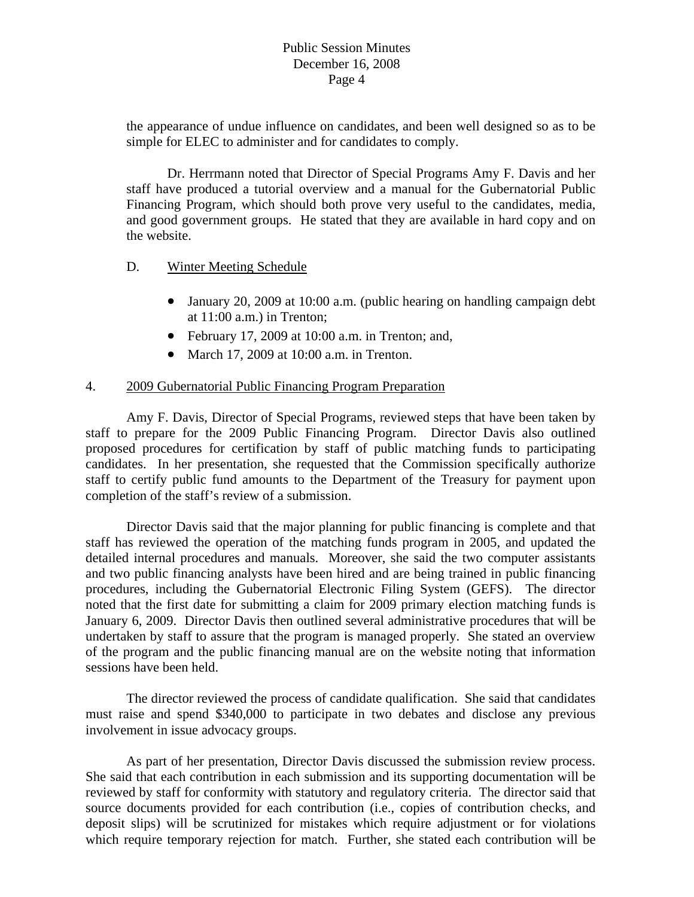the appearance of undue influence on candidates, and been well designed so as to be simple for ELEC to administer and for candidates to comply.

 Dr. Herrmann noted that Director of Special Programs Amy F. Davis and her staff have produced a tutorial overview and a manual for the Gubernatorial Public Financing Program, which should both prove very useful to the candidates, media, and good government groups. He stated that they are available in hard copy and on the website.

#### D. Winter Meeting Schedule

- January 20, 2009 at 10:00 a.m. (public hearing on handling campaign debt at 11:00 a.m.) in Trenton;
- February 17, 2009 at 10:00 a.m. in Trenton; and,
- March 17, 2009 at 10:00 a.m. in Trenton.

# 4. 2009 Gubernatorial Public Financing Program Preparation

 Amy F. Davis, Director of Special Programs, reviewed steps that have been taken by staff to prepare for the 2009 Public Financing Program. Director Davis also outlined proposed procedures for certification by staff of public matching funds to participating candidates. In her presentation, she requested that the Commission specifically authorize staff to certify public fund amounts to the Department of the Treasury for payment upon completion of the staff's review of a submission.

 Director Davis said that the major planning for public financing is complete and that staff has reviewed the operation of the matching funds program in 2005, and updated the detailed internal procedures and manuals. Moreover, she said the two computer assistants and two public financing analysts have been hired and are being trained in public financing procedures, including the Gubernatorial Electronic Filing System (GEFS). The director noted that the first date for submitting a claim for 2009 primary election matching funds is January 6, 2009. Director Davis then outlined several administrative procedures that will be undertaken by staff to assure that the program is managed properly. She stated an overview of the program and the public financing manual are on the website noting that information sessions have been held.

 The director reviewed the process of candidate qualification. She said that candidates must raise and spend \$340,000 to participate in two debates and disclose any previous involvement in issue advocacy groups.

 As part of her presentation, Director Davis discussed the submission review process. She said that each contribution in each submission and its supporting documentation will be reviewed by staff for conformity with statutory and regulatory criteria. The director said that source documents provided for each contribution (i.e., copies of contribution checks, and deposit slips) will be scrutinized for mistakes which require adjustment or for violations which require temporary rejection for match. Further, she stated each contribution will be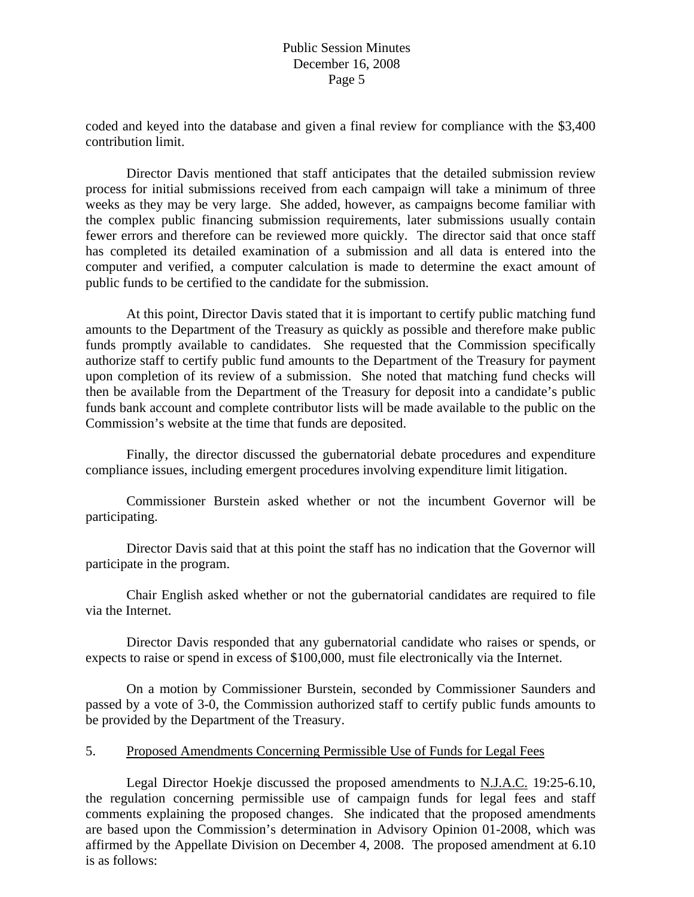coded and keyed into the database and given a final review for compliance with the \$3,400 contribution limit.

 Director Davis mentioned that staff anticipates that the detailed submission review process for initial submissions received from each campaign will take a minimum of three weeks as they may be very large. She added, however, as campaigns become familiar with the complex public financing submission requirements, later submissions usually contain fewer errors and therefore can be reviewed more quickly. The director said that once staff has completed its detailed examination of a submission and all data is entered into the computer and verified, a computer calculation is made to determine the exact amount of public funds to be certified to the candidate for the submission.

 At this point, Director Davis stated that it is important to certify public matching fund amounts to the Department of the Treasury as quickly as possible and therefore make public funds promptly available to candidates. She requested that the Commission specifically authorize staff to certify public fund amounts to the Department of the Treasury for payment upon completion of its review of a submission. She noted that matching fund checks will then be available from the Department of the Treasury for deposit into a candidate's public funds bank account and complete contributor lists will be made available to the public on the Commission's website at the time that funds are deposited.

 Finally, the director discussed the gubernatorial debate procedures and expenditure compliance issues, including emergent procedures involving expenditure limit litigation.

 Commissioner Burstein asked whether or not the incumbent Governor will be participating.

 Director Davis said that at this point the staff has no indication that the Governor will participate in the program.

 Chair English asked whether or not the gubernatorial candidates are required to file via the Internet.

 Director Davis responded that any gubernatorial candidate who raises or spends, or expects to raise or spend in excess of \$100,000, must file electronically via the Internet.

 On a motion by Commissioner Burstein, seconded by Commissioner Saunders and passed by a vote of 3-0, the Commission authorized staff to certify public funds amounts to be provided by the Department of the Treasury.

#### 5. Proposed Amendments Concerning Permissible Use of Funds for Legal Fees

 Legal Director Hoekje discussed the proposed amendments to N.J.A.C. 19:25-6.10, the regulation concerning permissible use of campaign funds for legal fees and staff comments explaining the proposed changes. She indicated that the proposed amendments are based upon the Commission's determination in Advisory Opinion 01-2008, which was affirmed by the Appellate Division on December 4, 2008. The proposed amendment at 6.10 is as follows: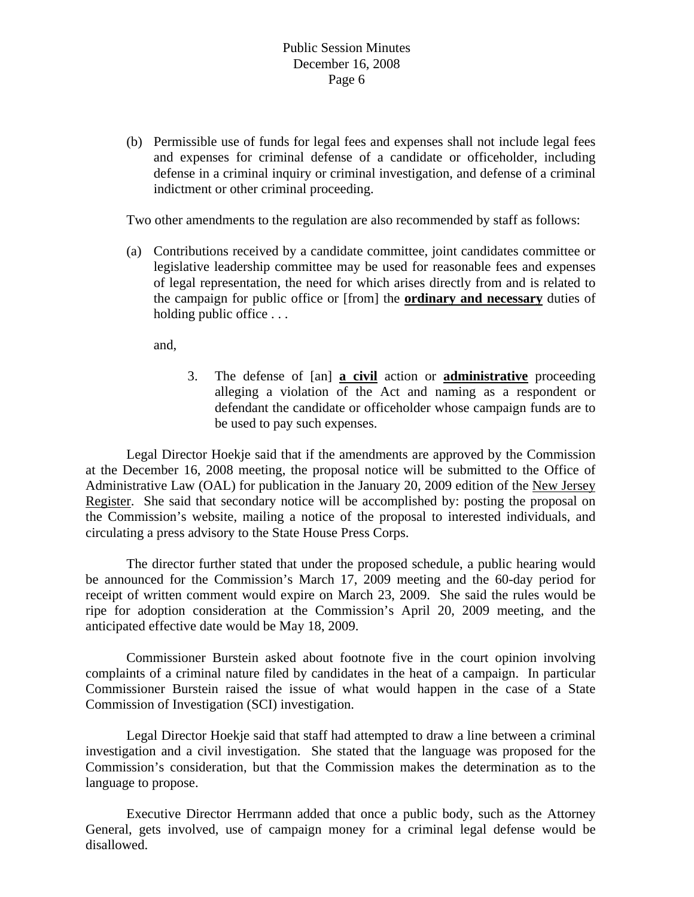(b) Permissible use of funds for legal fees and expenses shall not include legal fees and expenses for criminal defense of a candidate or officeholder, including defense in a criminal inquiry or criminal investigation, and defense of a criminal indictment or other criminal proceeding.

Two other amendments to the regulation are also recommended by staff as follows:

 (a) Contributions received by a candidate committee, joint candidates committee or legislative leadership committee may be used for reasonable fees and expenses of legal representation, the need for which arises directly from and is related to the campaign for public office or [from] the **ordinary and necessary** duties of holding public office ...

and,

 3. The defense of [an] **a civil** action or **administrative** proceeding alleging a violation of the Act and naming as a respondent or defendant the candidate or officeholder whose campaign funds are to be used to pay such expenses.

 Legal Director Hoekje said that if the amendments are approved by the Commission at the December 16, 2008 meeting, the proposal notice will be submitted to the Office of Administrative Law (OAL) for publication in the January 20, 2009 edition of the New Jersey Register. She said that secondary notice will be accomplished by: posting the proposal on the Commission's website, mailing a notice of the proposal to interested individuals, and circulating a press advisory to the State House Press Corps.

 The director further stated that under the proposed schedule, a public hearing would be announced for the Commission's March 17, 2009 meeting and the 60-day period for receipt of written comment would expire on March 23, 2009. She said the rules would be ripe for adoption consideration at the Commission's April 20, 2009 meeting, and the anticipated effective date would be May 18, 2009.

 Commissioner Burstein asked about footnote five in the court opinion involving complaints of a criminal nature filed by candidates in the heat of a campaign. In particular Commissioner Burstein raised the issue of what would happen in the case of a State Commission of Investigation (SCI) investigation.

 Legal Director Hoekje said that staff had attempted to draw a line between a criminal investigation and a civil investigation. She stated that the language was proposed for the Commission's consideration, but that the Commission makes the determination as to the language to propose.

 Executive Director Herrmann added that once a public body, such as the Attorney General, gets involved, use of campaign money for a criminal legal defense would be disallowed.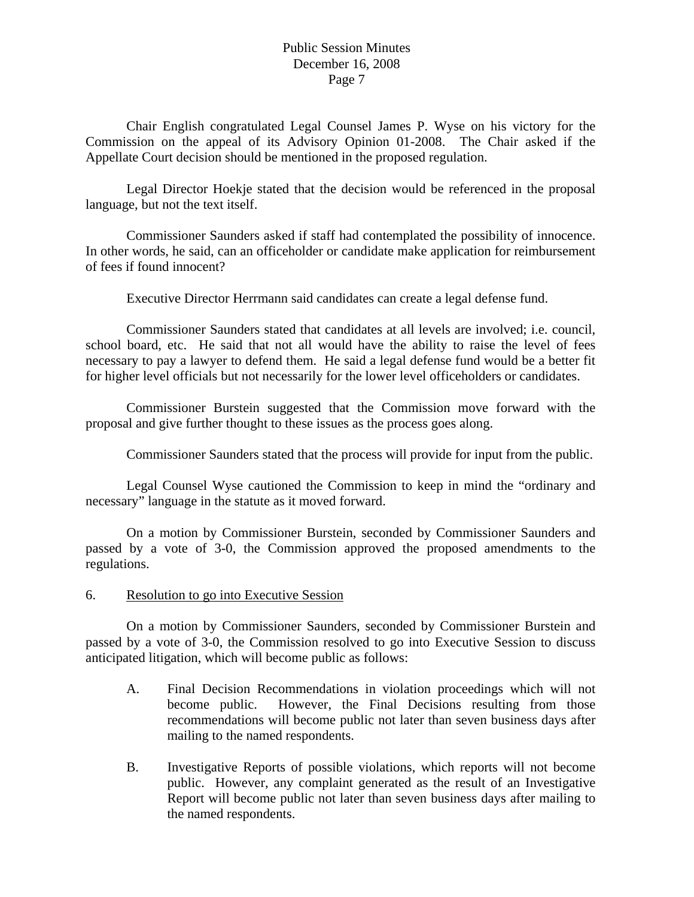Chair English congratulated Legal Counsel James P. Wyse on his victory for the Commission on the appeal of its Advisory Opinion 01-2008. The Chair asked if the Appellate Court decision should be mentioned in the proposed regulation.

 Legal Director Hoekje stated that the decision would be referenced in the proposal language, but not the text itself.

 Commissioner Saunders asked if staff had contemplated the possibility of innocence. In other words, he said, can an officeholder or candidate make application for reimbursement of fees if found innocent?

Executive Director Herrmann said candidates can create a legal defense fund.

 Commissioner Saunders stated that candidates at all levels are involved; i.e. council, school board, etc. He said that not all would have the ability to raise the level of fees necessary to pay a lawyer to defend them. He said a legal defense fund would be a better fit for higher level officials but not necessarily for the lower level officeholders or candidates.

 Commissioner Burstein suggested that the Commission move forward with the proposal and give further thought to these issues as the process goes along.

Commissioner Saunders stated that the process will provide for input from the public.

 Legal Counsel Wyse cautioned the Commission to keep in mind the "ordinary and necessary" language in the statute as it moved forward.

 On a motion by Commissioner Burstein, seconded by Commissioner Saunders and passed by a vote of 3-0, the Commission approved the proposed amendments to the regulations.

6. Resolution to go into Executive Session

 On a motion by Commissioner Saunders, seconded by Commissioner Burstein and passed by a vote of 3-0, the Commission resolved to go into Executive Session to discuss anticipated litigation, which will become public as follows:

- A. Final Decision Recommendations in violation proceedings which will not become public. However, the Final Decisions resulting from those recommendations will become public not later than seven business days after mailing to the named respondents.
- B. Investigative Reports of possible violations, which reports will not become public. However, any complaint generated as the result of an Investigative Report will become public not later than seven business days after mailing to the named respondents.